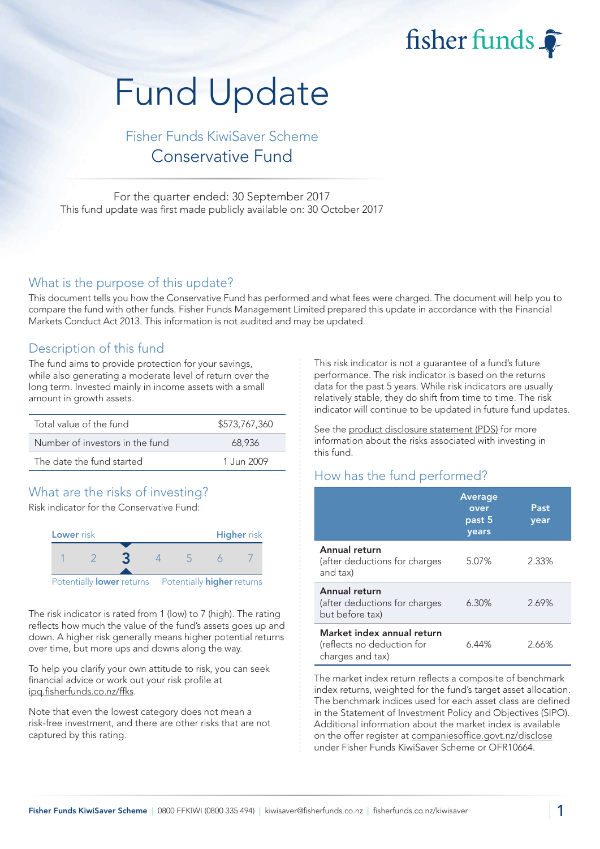fisher funds

# Fund Update

## Fisher Funds KiwiSaver Scheme Conservative Fund

For the quarter ended: 30 September 2017 This fund update was first made publicly available on: 30 October 2017

#### What is the purpose of this update?

This document tells you how the Conservative Fund has performed and what fees were charged. The document will help you to compare the fund with other funds. Fisher Funds Management Limited prepared this update in accordance with the Financial Markets Conduct Act 2013. This information is not audited and may be updated.

### Description of this fund

The fund aims to provide protection for your savings, while also generating a moderate level of return over the long term. Invested mainly in income assets with a small amount in growth assets.

| Total value of the fund         | \$573,767,360 |
|---------------------------------|---------------|
| Number of investors in the fund | 68.936        |
| The date the fund started       | 1.Jun 2009    |

## What are the risks of investing?

Risk indicator for the Conservative Fund:



The risk indicator is rated from 1 (low) to 7 (high). The rating reflects how much the value of the fund's assets goes up and down. A higher risk generally means higher potential returns over time, but more ups and downs along the way.

To help you clarify your own attitude to risk, you can seek financial advice or work out your risk profile at [ipq.fisherfunds.co.nz/ffks.](https://ipq.fisherfunds.co.nz/ffks)

Note that even the lowest category does not mean a risk-free investment, and there are other risks that are not captured by this rating.

This risk indicator is not a guarantee of a fund's future performance. The risk indicator is based on the returns data for the past 5 years. While risk indicators are usually relatively stable, they do shift from time to time. The risk indicator will continue to be updated in future fund updates.

See the [product disclosure statement \(PDS\)](https://fisherfunds.co.nz/assets/PDS/Fisher-Funds-KiwiSaver-Scheme-PDS.pdf) for more information about the risks associated with investing in this fund.

## How has the fund performed?

|                                                                              | <b>Average</b><br>over<br>past 5<br>years | Past<br>year |
|------------------------------------------------------------------------------|-------------------------------------------|--------------|
| Annual return<br>(after deductions for charges<br>and tax)                   | 5.07%                                     | 2.33%        |
| Annual return<br>(after deductions for charges<br>but before tax)            | $6.30\%$                                  | 2.69%        |
| Market index annual return<br>(reflects no deduction for<br>charges and tax) | $6.44\%$                                  | 2.66%        |

The market index return reflects a composite of benchmark index returns, weighted for the fund's target asset allocation. The benchmark indices used for each asset class are defined in the Statement of Investment Policy and Objectives (SIPO). Additional information about the market index is available on the offer register at [companiesoffice.govt.nz/disclose](http://companiesoffice.govt.nz/disclose) under Fisher Funds KiwiSaver Scheme or OFR10664.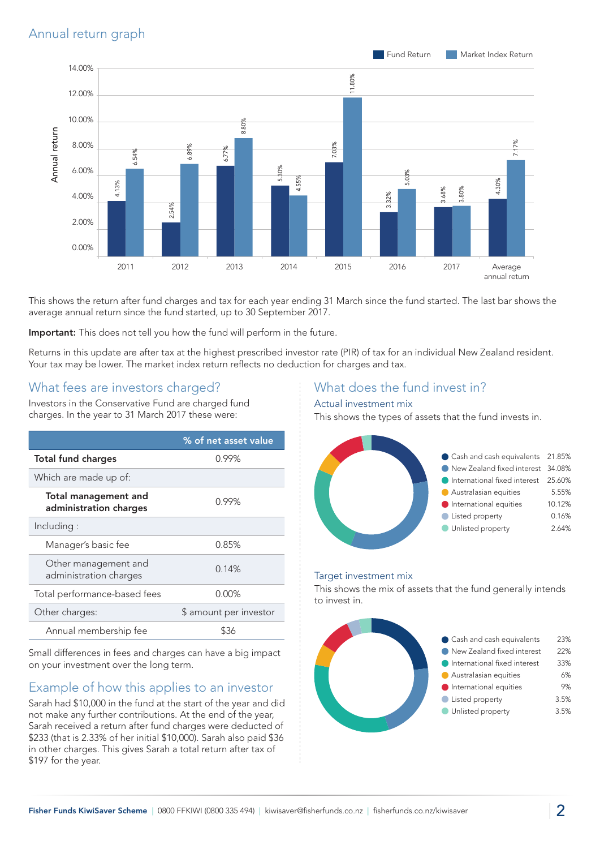

This shows the return after fund charges and tax for each year ending 31 March since the fund started. The last bar shows the average annual return since the fund started, up to 30 September 2017.

Important: This does not tell you how the fund will perform in the future.

Returns in this update are after tax at the highest prescribed investor rate (PIR) of tax for an individual New Zealand resident. Your tax may be lower. The market index return reflects no deduction for charges and tax.

## What fees are investors charged?

Investors in the Conservative Fund are charged fund charges. In the year to 31 March 2017 these were:

|                                                       | % of net asset value   |
|-------------------------------------------------------|------------------------|
| <b>Total fund charges</b>                             | 0.99%                  |
| Which are made up of:                                 |                        |
| <b>Total management and</b><br>administration charges | 0.99%                  |
| Including:                                            |                        |
| Manager's basic fee                                   | 0.85%                  |
| Other management and<br>administration charges        | 0.14%                  |
| Total performance-based fees                          | 0.00%                  |
| Other charges:                                        | \$ amount per investor |
| Annual membership fee                                 | ዌ36                    |

Small differences in fees and charges can have a big impact on your investment over the long term.

## Example of how this applies to an investor

Sarah had \$10,000 in the fund at the start of the year and did not make any further contributions. At the end of the year, Sarah received a return after fund charges were deducted of \$233 (that is 2.33% of her initial \$10,000). Sarah also paid \$36 in other charges. This gives Sarah a total return after tax of \$197 for the year.

### What does the fund invest in?

#### Actual investment mix

This shows the types of assets that the fund invests in.



#### Target investment mix

This shows the mix of assets that the fund generally intends to invest in.